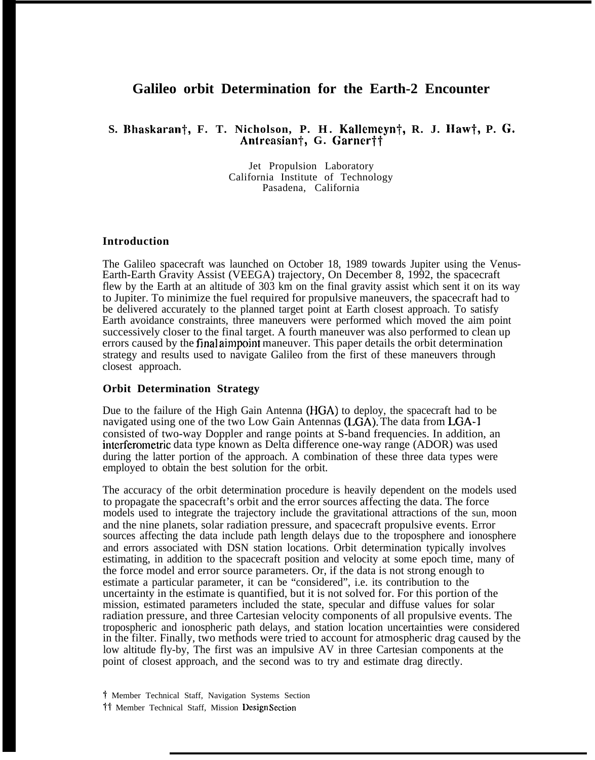# **Galileo orbit Determination for the Earth-2 Encounter**

## **S. Ilhaskaranf, F. T. Nicholson, P. H. Kallemeyn~, R. J. Haw~, P. G.** Antreasian<sup>†</sup>, G. Garner††

Jet Propulsion Laboratory California Institute of Technology Pasadena, California

#### **Introduction**

The Galileo spacecraft was launched on October 18, 1989 towards Jupiter using the Venus-Earth-Earth Gravity Assist (VEEGA) trajectory, On December 8, 1992, the spacecraft flew by the Earth at an altitude of 303 km on the final gravity assist which sent it on its way to Jupiter. To minimize the fuel required for propulsive maneuvers, the spacecraft had to be delivered accurately to the planned target point at Earth closest approach. To satisfy Earth avoidance constraints, three maneuvers were performed which moved the aim point successively closer to the final target. A fourth maneuver was also performed to clean up errors caused by the final aimpoint maneuver. This paper details the orbit determination strategy and results used to navigate Galileo from the first of these maneuvers through closest approach.

#### **Orbit Determination Strategy**

Due to the failure of the High Gain Antenna (HGA) to deploy, the spacecraft had to be navigated using one of the two Low Gain Antennas (LGA). The data from LGA-1 consisted of two-way Doppler and range points at S-band frequencies. In addition, an interferometric data type known as Delta difference one-way range (ADOR) was used during the latter portion of the approach. A combination of these three data types were employed to obtain the best solution for the orbit.

The accuracy of the orbit determination procedure is heavily dependent on the models used to propagate the spacecraft's orbit and the error sources affecting the data. The force models used to integrate the trajectory include the gravitational attractions of the sun, moon and the nine planets, solar radiation pressure, and spacecraft propulsive events. Error sources affecting the data include path length delays due to the troposphere and ionosphere and errors associated with DSN station locations. Orbit determination typically involves estimating, in addition to the spacecraft position and velocity at some epoch time, many of the force model and error source parameters. Or, if the data is not strong enough to estimate a particular parameter, it can be "considered", i.e. its contribution to the uncertainty in the estimate is quantified, but it is not solved for. For this portion of the mission, estimated parameters included the state, specular and diffuse values for solar radiation pressure, and three Cartesian velocity components of all propulsive events. The tropospheric and ionospheric path delays, and station location uncertainties were considered in the filter. Finally, two methods were tried to account for atmospheric drag caused by the low altitude fly-by, The first was an impulsive AV in three Cartesian components at the point of closest approach, and the second was to try and estimate drag directly.

t Member Technical Staff, Navigation Systems Section <sup>11</sup> Member Technical Staff, Mission Design Section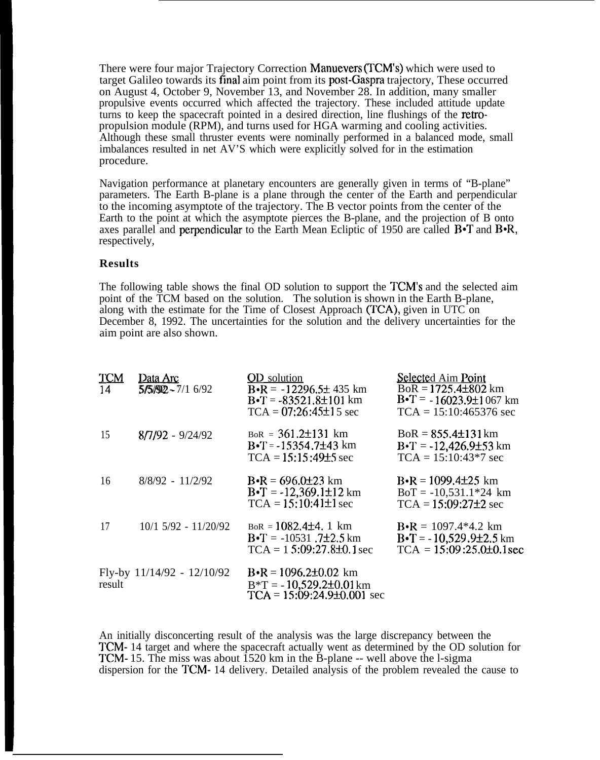There were four major Trajectory Correction Manuevers (TCM'S) which were used to target Galileo towards its final aim point from its post-Gaspra trajectory, These occurred on August 4, October 9, November 13, and November 28. In addition, many smaller propulsive events occurred which affected the trajectory. These included attitude update turns to keep the spacecraft pointed in a desired direction, line flushings of the retropropulsion module (RPM), and turns used for HGA warming and cooling activities. Although these small thruster events were nominally performed in a balanced mode, small imbalances resulted in net AV'S which were explicitly solved for in the estimation procedure.

Navigation performance at planetary encounters are generally given in terms of "B-plane" parameters. The Earth B-plane is a plane through the center of the Earth and perpendicular to the incoming asymptote of the trajectory. The B vector points from the center of the Earth to the point at which the asymptote pierces the B-plane, and the projection of B onto axes parallel and perpendicular to the Earth Mean Ecliptic of 1950 are called  $\text{B}-\text{T}$  and  $\text{B}-\text{R}$ , respectively,

### **Results**

The following table shows the final OD solution to support the TCM'S and the selected aim point of the TCM based on the solution. The solution is shown in the Earth B-plane, along with the estimate for the Time of Closest Approach (TCA), given in UTC on December 8, 1992. The uncertainties for the solution and the delivery uncertainties for the aim point are also shown.

| <b>TCM</b><br>14 | Data Arc<br>$5/5/92 - 7/16/92$ | <b>OD</b> solution<br>$B\cdot R = -12296.5\pm 435$ km<br>$B - T = -83521.8 \pm 101$ km<br>$TCA = 07:26:45±15$ sec | Selected Aim Point<br>$BoR = 1725.4 \pm 802$ km<br>$B\cdot T = -16023.9\pm 1067$ km<br>$TCA = 15:10:465376$ sec |
|------------------|--------------------------------|-------------------------------------------------------------------------------------------------------------------|-----------------------------------------------------------------------------------------------------------------|
| 15               | $8/7/92 - 9/24/92$             | $BoR = 361.2 \pm 131$ km<br>$B\cdot T = -15354.7\pm 43$ km<br>$TCA = 15:15:49±5$ sec                              | $BoR = 855.4 \pm 131 \text{ km}$<br>$B \cdot T = -12,426.9 \pm 53$ km<br>$TCA = 15:10:43*7$ sec                 |
| 16               | $8/8/92 - 11/2/92$             | $B \cdot R = 696.0 \pm 23$ km<br>$B\cdot T = -12,369.1\pm 12$ km<br>$TCA = 15:10:41±1$ sec                        | $B\cdot R = 1099.4\pm 25$ km<br>$BoT = -10,531.1*24$ km<br>$TCA = 15:09:27±2$ sec                               |
| 17               | $10/1$ 5/92 - $11/20/92$       | $BoR = 1082.4 \pm 4.1 \text{ km}$<br>$B\cdot T = -10531$ . 7±2.5 km<br>$TCA = 15:09:27.8\pm0.1$ sec               | $B\cdot R = 1097.4*4.2$ km<br>$B\cdot T = -10,529.9\pm 2.5$ km<br>$TCA = 15:09:25.0\pm0.1$ sec                  |
| result           | Fly-by 11/14/92 - 12/10/92     | $B \cdot R = 1096.2 \pm 0.02$ km<br>$B^*T = -10,529.2\pm 0.01 \text{ km}$<br>$TCA = 15:09:24.9\pm0.001$ sec       |                                                                                                                 |

An initially disconcerting result of the analysis was the large discrepancy between the TCM- 14 target and where the spacecraft actually went as determined by the OD solution for TCM- 15. The miss was about 1520 km in the B-plane -- well above the l-sigma dispersion for the TCM- 14 delivery. Detailed analysis of the problem revealed the cause to